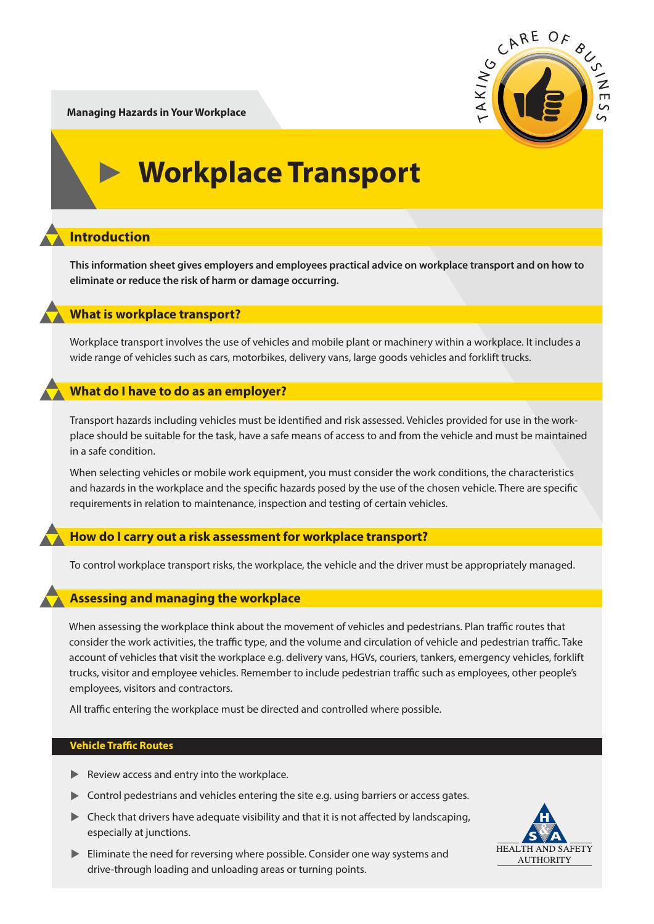

**Managing Hazards in Your Workplace**

# **Workplace Transport**

# **Introduction**

**This information sheet gives employers and employees practical advice on workplace transport and on how to eliminate or reduce the risk of harm or damage occurring.**

# **What is workplace transport?**

Workplace transport involves the use of vehicles and mobile plant or machinery within a workplace. It includes a wide range of vehicles such as cars, motorbikes, delivery vans, large goods vehicles and forklift trucks.

# **What do I have to do as an employer?**

Transport hazards including vehicles must be identified and risk assessed. Vehicles provided for use in the workplace should be suitable for the task, have a safe means of access to and from the vehicle and must be maintained in a safe condition.

When selecting vehicles or mobile work equipment, you must consider the work conditions, the characteristics and hazards in the workplace and the specific hazards posed by the use of the chosen vehicle. There are specific requirements in relation to maintenance, inspection and testing of certain vehicles.

## **How do I carry out a risk assessment for workplace transport?**

To control workplace transport risks, the workplace, the vehicle and the driver must be appropriately managed.

## **Assessing and managing the workplace**

When assessing the workplace think about the movement of vehicles and pedestrians. Plan traffic routes that consider the work activities, the traffic type, and the volume and circulation of vehicle and pedestrian traffic. Take account of vehicles that visit the workplace e.g. delivery vans, HGVs, couriers, tankers, emergency vehicles, forklift trucks, visitor and employee vehicles. Remember to include pedestrian traffic such as employees, other people's employees, visitors and contractors.

All traffic entering the workplace must be directed and controlled where possible.

#### **Vehicle Traffic Routes**

- **EXEC** Review access and entry into the workplace.
- ▲ Control pedestrians and vehicles entering the site e.g. using barriers or access gates.
- $\triangleright$  Check that drivers have adequate visibility and that it is not affected by landscaping, especially at junctions.
- Eliminate the need for reversing where possible. Consider one way systems and drive-through loading and unloading areas or turning points.

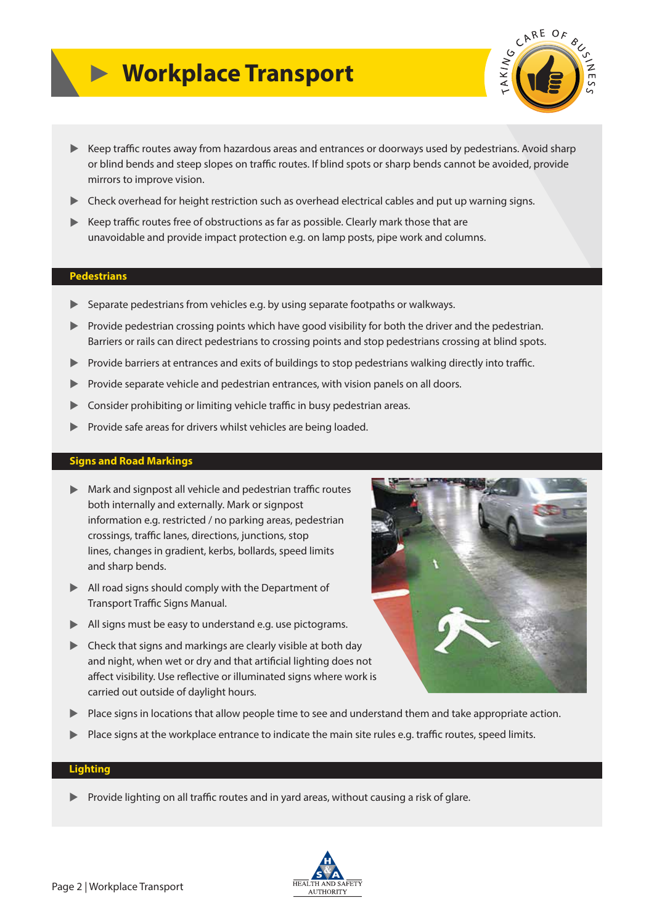# **Workplace Transport**



- ▶ Keep traffic routes away from hazardous areas and entrances or doorways used by pedestrians. Avoid sharp or blind bends and steep slopes on traffic routes. If blind spots or sharp bends cannot be avoided, provide mirrors to improve vision.
- **Check overhead for height restriction such as overhead electrical cables and put up warning signs.**
- EXTRE Reep traffic routes free of obstructions as far as possible. Clearly mark those that are unavoidable and provide impact protection e.g. on lamp posts, pipe work and columns.

#### **Pedestrians**

- ▲ Separate pedestrians from vehicles e.g. by using separate footpaths or walkways.
- ▲ Provide pedestrian crossing points which have good visibility for both the driver and the pedestrian. Barriers or rails can direct pedestrians to crossing points and stop pedestrians crossing at blind spots.
- Interprovide barriers at entrances and exits of buildings to stop pedestrians walking directly into traffic.
- **EX** Provide separate vehicle and pedestrian entrances, with vision panels on all doors.
- **Consider prohibiting or limiting vehicle traffic in busy pedestrian areas.**
- **EXECUTE:** Provide safe areas for drivers whilst vehicles are being loaded.

#### **Signs and Road Markings**

- $\blacktriangleright$  Mark and signpost all vehicle and pedestrian traffic routes both internally and externally. Mark or signpost information e.g. restricted / no parking areas, pedestrian crossings, traffic lanes, directions, junctions, stop lines, changes in gradient, kerbs, bollards, speed limits and sharp bends.
- ▶ All road signs should comply with the Department of Transport Traffic Signs Manual.
- ▲ All signs must be easy to understand e.g. use pictograms.
- **EXECUTE:** Check that signs and markings are clearly visible at both day and night, when wet or dry and that artificial lighting does not affect visibility. Use reflective or illuminated signs where work is carried out outside of daylight hours.
- ▶ Place signs in locations that allow people time to see and understand them and take appropriate action.
- $\blacktriangleright$  Place signs at the workplace entrance to indicate the main site rules e.g. traffic routes, speed limits.

#### **Lighting**

If Provide lighting on all traffic routes and in yard areas, without causing a risk of glare.



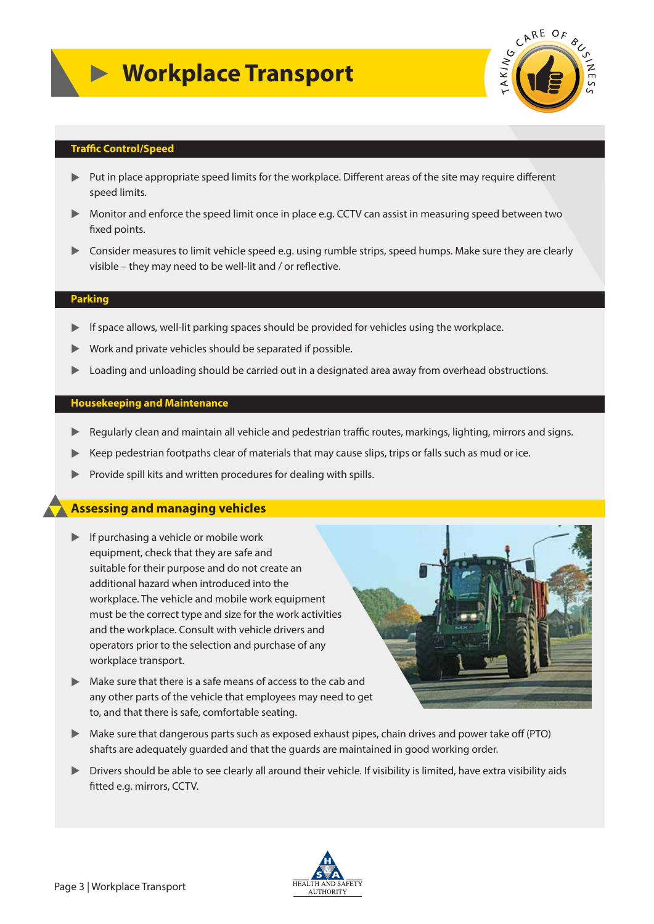

#### **Traffic Control/Speed**

- ▶ Put in place appropriate speed limits for the workplace. Different areas of the site may require different speed limits.
- ▶ Monitor and enforce the speed limit once in place e.g. CCTV can assist in measuring speed between two fixed points.
- ▲ Consider measures to limit vehicle speed e.g. using rumble strips, speed humps. Make sure they are clearly visible – they may need to be well-lit and / or reflective.

### **Parking**

- If space allows, well-lit parking spaces should be provided for vehicles using the workplace.
- $\blacktriangleright$ Work and private vehicles should be separated if possible.
- $\blacksquare$ Loading and unloading should be carried out in a designated area away from overhead obstructions.

#### **Housekeeping and Maintenance**

- ▶ Regularly clean and maintain all vehicle and pedestrian traffic routes, markings, lighting, mirrors and signs.
- $\blacktriangleright$ Keep pedestrian footpaths clear of materials that may cause slips, trips or falls such as mud or ice.
- $\blacktriangleright$ Provide spill kits and written procedures for dealing with spills.

## **Assessing and managing vehicles**

- **If purchasing a vehicle or mobile work**  equipment, check that they are safe and suitable for their purpose and do not create an additional hazard when introduced into the workplace. The vehicle and mobile work equipment must be the correct type and size for the work activities and the workplace. Consult with vehicle drivers and operators prior to the selection and purchase of any workplace transport.
- ▲ Make sure that there is a safe means of access to the cab and any other parts of the vehicle that employees may need to get to, and that there is safe, comfortable seating.



- ▶ Make sure that dangerous parts such as exposed exhaust pipes, chain drives and power take off (PTO) shafts are adequately guarded and that the guards are maintained in good working order.
- Intivers should be able to see clearly all around their vehicle. If visibility is limited, have extra visibility aids fitted e.g. mirrors, CCTV.

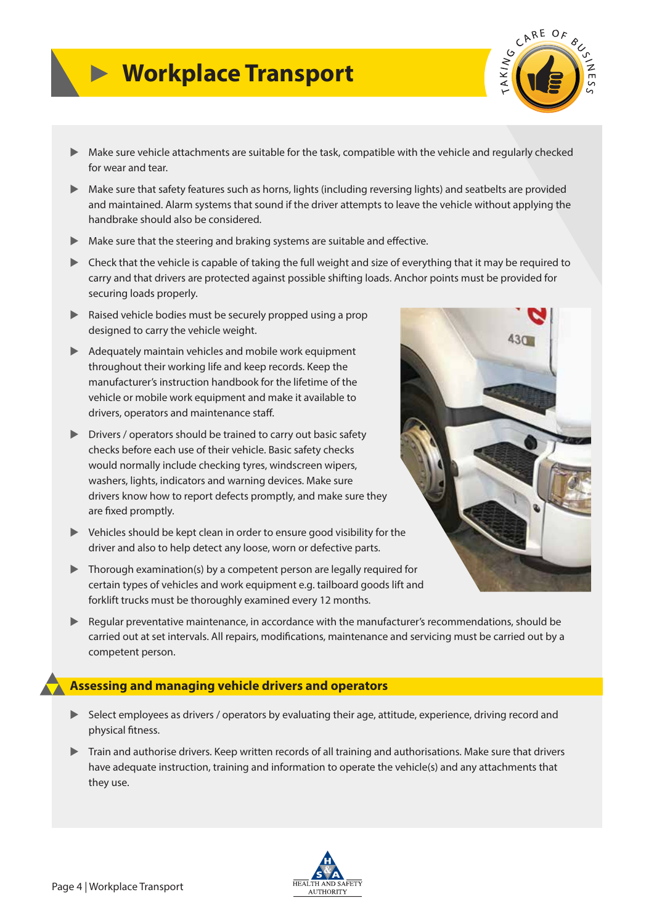# **Workplace Transport**



- ▲ Make sure vehicle attachments are suitable for the task, compatible with the vehicle and regularly checked for wear and tear.
- ▲ Make sure that safety features such as horns, lights (including reversing lights) and seatbelts are provided and maintained. Alarm systems that sound if the driver attempts to leave the vehicle without applying the handbrake should also be considered.
- $\blacktriangleright$  Make sure that the steering and braking systems are suitable and effective.
- ▶ Check that the vehicle is capable of taking the full weight and size of everything that it may be required to carry and that drivers are protected against possible shifting loads. Anchor points must be provided for securing loads properly.
- **EXEC** Raised vehicle bodies must be securely propped using a prop designed to carry the vehicle weight.
- **EX Adequately maintain vehicles and mobile work equipment**  throughout their working life and keep records. Keep the manufacturer's instruction handbook for the lifetime of the vehicle or mobile work equipment and make it available to drivers, operators and maintenance staff.
- **EXECUTE:** Drivers / operators should be trained to carry out basic safety checks before each use of their vehicle. Basic safety checks would normally include checking tyres, windscreen wipers, washers, lights, indicators and warning devices. Make sure drivers know how to report defects promptly, and make sure they are fixed promptly.
- ▲ Vehicles should be kept clean in order to ensure good visibility for the driver and also to help detect any loose, worn or defective parts.
- ▲ Thorough examination(s) by a competent person are legally required for certain types of vehicles and work equipment e.g. tailboard goods lift and forklift trucks must be thoroughly examined every 12 months.
- ▶ Regular preventative maintenance, in accordance with the manufacturer's recommendations, should be carried out at set intervals. All repairs, modifications, maintenance and servicing must be carried out by a competent person.

# **Assessing and managing vehicle drivers and operators**

- ▶ Select employees as drivers / operators by evaluating their age, attitude, experience, driving record and physical fitness.
- **EXECT** Train and authorise drivers. Keep written records of all training and authorisations. Make sure that drivers have adequate instruction, training and information to operate the vehicle(s) and any attachments that they use.